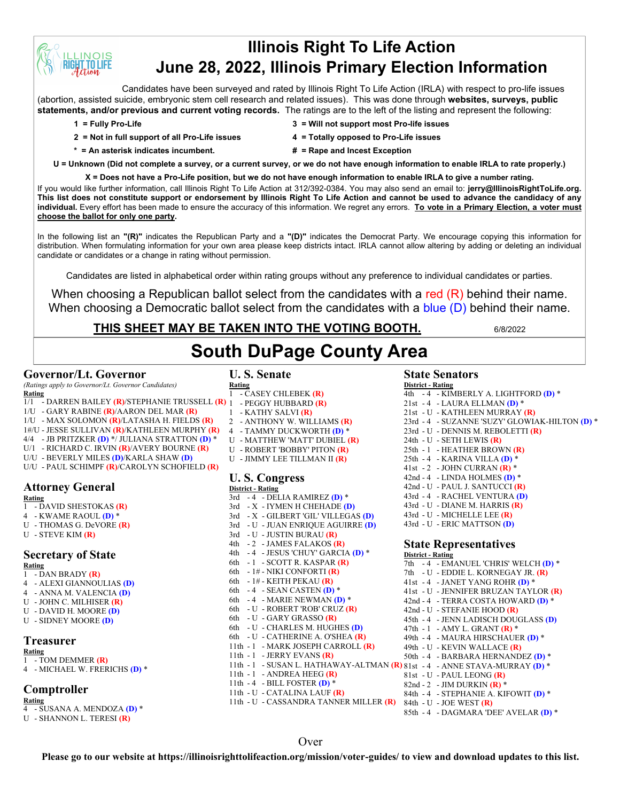# **Illinois Right To Life Action June 28, 2022, Illinois Primary Election Information**

Candidates have been surveyed and rated by Illinois Right To Life Action (IRLA) with respect to pro-life issues (abortion, assisted suicide, embryonic stem cell research and related issues). This was done through **websites, surveys, public statements, and/or previous and current voting records.** The ratings are to the left of the listing and represent the following:

**INOIS T.TO LIFE** 

- **2 = Not in full support of all Pro-Life issues 4 = Totally opposed to Pro-Life issues**
- **1 = Fully Pro-Life 3 = Will not support most Pro-life issues**
	-
- **\* = An asterisk indicates incumbent. # = Rape and Incest Exception**
- -

**U = Unknown (Did not complete a survey, or a current survey, or we do not have enough information to enable IRLA to rate properly.)**

**X = Does not have a Pro-Life position, but we do not have enough information to enable IRLA to give a number rating.**  If you would like further information, call Illinois Right To Life Action at 312/392-0384. You may also send an email to: **jerry@IllinoisRightToLife.org. This list does not constitute support or endorsement by Illinois Right To Life Action and cannot be used to advance the candidacy of any individual.** Every effort has been made to ensure the accuracy of this information. We regret any errors. **To vote in a Primary Election, a voter must choose the ballot for only one party.**

In the following list an **"(R)"** indicates the Republican Party and a **"(D)"** indicates the Democrat Party. We encourage copying this information for distribution. When formulating information for your own area please keep districts intact. IRLA cannot allow altering by adding or deleting an individual candidate or candidates or a change in rating without permission.

Candidates are listed in alphabetical order within rating groups without any preference to individual candidates or parties.

When choosing a Republican ballot select from the candidates with a red  $(R)$  behind their name. When choosing a Democratic ballot select from the candidates with a blue (D) behind their name.

### **THIS SHEET MAY BE TAKEN INTO THE VOTING BOOTH.** 6/8/2022

# **South DuPage County Area**

#### **Governor/Lt. Governor**

*(Ratings apply to Governor/Lt. Governor Candidates)*

- **Rating** 1/1 - DARREN BAILEY **(R)**/STEPHANIE TRUSSELL **(R)**
- 1/U GARY RABINE **(R)**/AARON DEL MAR **(R)**
- 1/U MAX SOLOMON **(R)**/LATASHA H. FIELDS **(R)**
- 1#/U JESSE SULLIVAN **(R)**/KATHLEEN MURPHY **(R)**
- 4/4 JB PRITZKER **(D)** \*/ JULIANA STRATTON **(D)** \*
- U/1 RICHARD C. IRVIN **(R)**/AVERY BOURNE **(R)**
- U/U BEVERLY MILES **(D)**/KARLA SHAW **(D)**
- U/U PAUL SCHIMPF **(R)**/CAROLYN SCHOFIELD **(R)**

## **Attorney General**

**Rating**

- 1 DAVID SHESTOKAS **(R)**
- 4 KWAME RAOUL **(D)** \*
- U THOMAS G. DeVORE **(R)**
- U STEVE KIM **(R)**

#### **Secretary of State**

**Rating**

- 1 DAN BRADY **(R)**
- 4 ALEXI GIANNOULIAS **(D)**
- 4 ANNA M. VALENCIA **(D)** U - JOHN C. MILHISER **(R)**
- U DAVID H. MOORE **(D)**
- U SIDNEY MOORE **(D)**

#### **Treasurer**

**Rating**

- 1 TOM DEMMER **(R)**
- 4 MICHAEL W. FRERICHS **(D)** \*

#### **Comptroller**

**Rating**

- 4 SUSANA A. MENDOZA **(D)** \*
- U SHANNON L. TERESI **(R)**

## **U. S. Senate**

**Rating** 1 - CASEY CHLEBEK **(R)**

- 1 PEGGY HUBBARD **(R)** 1 - KATHY SALVI **(R)**
- 2 ANTHONY W. WILLIAMS **(R)**
- 4 TAMMY DUCKWORTH **(D)** \*
- U MATTHEW 'MATT' DUBIEL **(R)**
- U ROBERT 'BOBBY' PITON **(R)**
- U JIMMY LEE TILLMAN II **(R)**

#### **U. S. Congress District - Rating**

3rd - 4 - DELIA RAMIREZ **(D)** \* 3rd - X - IYMEN H CHEHADE **(D)** 3rd - X - GILBERT 'GIL' VILLEGAS **(D)** 3rd - U - JUAN ENRIQUE AGUIRRE **(D)** 3rd - U - JUSTIN BURAU **(R)** 4th - 2 - JAMES FALAKOS **(R)** 4th - 4 - JESUS 'CHUY' GARCIA **(D)** \* 6th - 1 - SCOTT R. KASPAR **(R)** 6th - 1# - NIKI CONFORTI **(R)** 6th - 1# - KEITH PEKAU **(R)** 6th - 4 - SEAN CASTEN **(D)** \* 6th - 4 - MARIE NEWMAN **(D)** \* 6th - U - ROBERT 'ROB' CRUZ **(R)** 6th - U - GARY GRASSO **(R)** 6th - U - CHARLES M. HUGHES **(D)** 6th - U - CATHERINE A. O'SHEA **(R)** 11th - 1 - MARK JOSEPH CARROLL **(R)** 11th - 1 - JERRY EVANS **(R)** 11th - 1 - SUSAN L. HATHAWAY-ALTMAN **(R)** 81st - 4 - ANNE STAVA-MURRAY **(D)** \* 11th - 1 - ANDREA HEEG **(R)** 11th - 4 - BILL FOSTER **(D)** \* 11th - U - CATALINA LAUF **(R)** 11th - U - CASSANDRA TANNER MILLER **(R)** 84th - U - JOE WEST **(R)**

#### **State Senators**

**District - Rating** 4th - 4 - KIMBERLY A. LIGHTFORD **(D)** \* 21st - 4 - LAURA ELLMAN **(D)** \* 21st - U - KATHLEEN MURRAY **(R)** 23rd - 4 - SUZANNE 'SUZY' GLOWIAK-HILTON **(D)** \* 23rd - U - DENNIS M. REBOLETTI **(R)** 24th - U - SETH LEWIS **(R)** 25th - 1 - HEATHER BROWN **(R)** 25th - 4 - KARINA VILLA **(D)** \* 41st - 2 - JOHN CURRAN **(R)** \* 42nd - 4 - LINDA HOLMES **(D)** \* 42nd - U - PAUL J. SANTUCCI **(R)** 43rd - 4 - RACHEL VENTURA **(D)** 43rd - U - DIANE M. HARRIS **(R)** 43rd - U - MICHELLE LEE **(R)** 43rd - U - ERIC MATTSON **(D)**

#### **State Representatives District - Rating**

7th - 4 - EMANUEL 'CHRIS' WELCH **(D)** \* 7th - U - EDDIE L. KORNEGAY JR. **(R)** 41st - 4 - JANET YANG ROHR **(D)** \* 41st - U - JENNIFER BRUZAN TAYLOR **(R)** 42nd - 4 - TERRA COSTA HOWARD **(D)** \* 42nd - U - STEFANIE HOOD **(R)** 45th - 4 - JENN LADISCH DOUGLASS **(D)** 47th - 1 - AMY L. GRANT **(R)** \* 49th - 4 - MAURA HIRSCHAUER **(D)** \* 49th - U - KEVIN WALLACE **(R)** 50th - 4 - BARBARA HERNANDEZ **(D)** \* 81st - U - PAUL LEONG **(R)** 82nd - 2 - JIM DURKIN **(R)** \* 84th - 4 - STEPHANIE A. KIFOWIT **(D)** \* 85th - 4 - DAGMARA 'DEE' AVELAR **(D)** \*

#### Over

**Please go to our website at https://illinoisrighttolifeaction.org/mission/voter-guides/ to view and download updates to this list.**